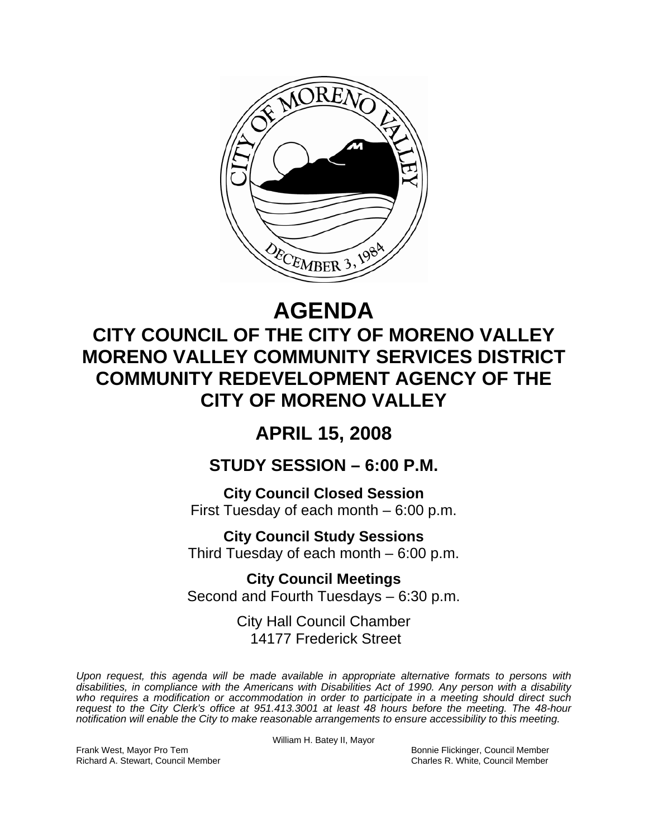

# **AGENDA**

# **CITY COUNCIL OF THE CITY OF MORENO VALLEY MORENO VALLEY COMMUNITY SERVICES DISTRICT COMMUNITY REDEVELOPMENT AGENCY OF THE CITY OF MORENO VALLEY**

## **APRIL 15, 2008**

### **STUDY SESSION – 6:00 P.M.**

**City Council Closed Session**  First Tuesday of each month – 6:00 p.m.

**City Council Study Sessions**  Third Tuesday of each month – 6:00 p.m.

**City Council Meetings**  Second and Fourth Tuesdays – 6:30 p.m.

> City Hall Council Chamber 14177 Frederick Street

*Upon request, this agenda will be made available in appropriate alternative formats to persons with disabilities, in compliance with the Americans with Disabilities Act of 1990. Any person with a disability*  who requires a modification or accommodation in order to participate in a meeting should direct such *request to the City Clerk's office at 951.413.3001 at least 48 hours before the meeting. The 48-hour notification will enable the City to make reasonable arrangements to ensure accessibility to this meeting.* 

Frank West, Mayor Pro Tem Bonnie Flickinger, Council Member Richard A. Stewart, Council Member Charles R. White, Council Member

William H. Batey II, Mayor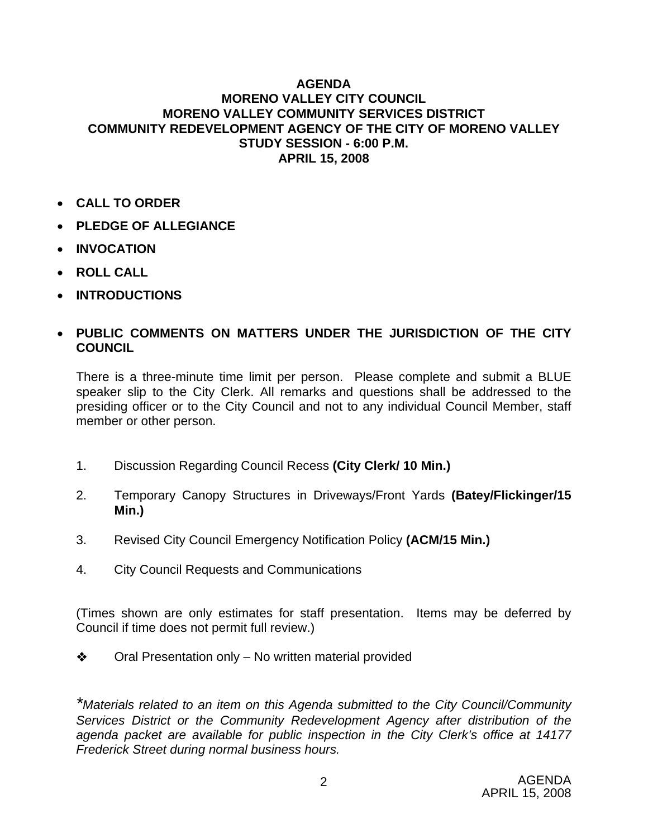#### **AGENDA MORENO VALLEY CITY COUNCIL MORENO VALLEY COMMUNITY SERVICES DISTRICT COMMUNITY REDEVELOPMENT AGENCY OF THE CITY OF MORENO VALLEY STUDY SESSION - 6:00 P.M. APRIL 15, 2008**

- **CALL TO ORDER**
- **PLEDGE OF ALLEGIANCE**
- **INVOCATION**
- **ROLL CALL**
- **INTRODUCTIONS**

### • **PUBLIC COMMENTS ON MATTERS UNDER THE JURISDICTION OF THE CITY COUNCIL**

There is a three-minute time limit per person. Please complete and submit a BLUE speaker slip to the City Clerk. All remarks and questions shall be addressed to the presiding officer or to the City Council and not to any individual Council Member, staff member or other person.

- 1. Discussion Regarding Council Recess **(City Clerk/ 10 Min.)**
- 2. Temporary Canopy Structures in Driveways/Front Yards **(Batey/Flickinger/15 Min.)**
- 3. Revised City Council Emergency Notification Policy **(ACM/15 Min.)**
- 4. City Council Requests and Communications

(Times shown are only estimates for staff presentation. Items may be deferred by Council if time does not permit full review.)

 $\triangle$  Oral Presentation only – No written material provided

*\*Materials related to an item on this Agenda submitted to the City Council/Community Services District or the Community Redevelopment Agency after distribution of the agenda packet are available for public inspection in the City Clerk's office at 14177 Frederick Street during normal business hours.*